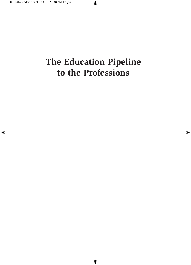# **The Education Pipeline** to the Professions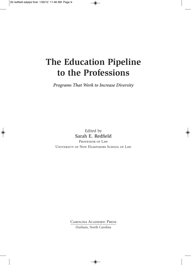# **The Education Pipeline to the Professions**

*Programs That Work to Increase Diversity*

Edited by Sarah E. Redfield PROFESSOR OF LAW University of New Hampshire School of Law

> Carolina Academic Press Durham, North Carolina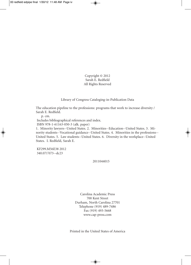Copyright © 2012 Sarah E. Redfield All Rights Reserved

Library of Congress Cataloging-in-Publication Data

The education pipeline to the professions: programs that work to increase diversity / Sarah E. Redfield.

p. cm.

Includes bibliographical references and index.

ISBN 978-1-61163-050-3 (alk. paper)

1. Minority lawyers--United States. 2. Minorities--Education--United States. 3. Minority students--Vocational guidance--United States. 4. Minorities in the professions-- United States. 5. Law students--United States. 6. Diversity in the workplace--United States. I. Redfield, Sarah E.

KF299.M56E38 2012 340.071'073--dc23

2011044015

Carolina Academic Press 700 Kent Street Durham, North Carolina 27701 Telephone (919) 489-7486 Fax (919) 493-5668 www.cap-press.com

Printed in the United States of America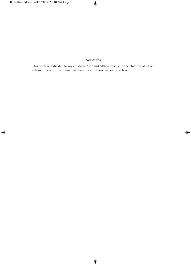### *Dedication*

This book is dedicated to my children, Alex and Althea Rose, and the children of all our authors, those in our immediate families and those we love and teach.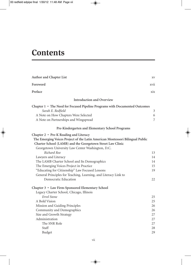### **Contents**

| Author and Chapter List                                                       | XV   |
|-------------------------------------------------------------------------------|------|
| Foreword                                                                      | xvii |
| Preface                                                                       | xix  |
| <b>Introduction and Overview</b>                                              |      |
| Chapter 1 • The Need for Focused Pipeline Programs with Documented Outcomes   |      |
| Sarah E. Redfield                                                             | 3    |
| A Note on How Chapters Were Selected                                          | 6    |
| A Note on Partnerships and Wingspread                                         | 7    |
| Pre-Kindergarten and Elementary School Programs                               |      |
| Chapter 2 • Pre-K Reading and Literacy                                        |      |
| The Emerging Voices Project of the Latin American Montessori Bilingual Public |      |
| Charter School (LAMB) and the Georgetown Street Law Clinic                    |      |
| Georgetown University Law Center Washington, D.C.                             |      |
| Richard Roe                                                                   | 13   |
| Lawyers and Literacy                                                          | 14   |
| The LAMB Charter School and Its Demographics                                  | 14   |
| The Emerging Voices Project in Practice                                       | 15   |
| "Educating for Citizenship" Law Focused Lessons                               | 19   |
| General Principles for Teaching, Learning, and Literacy Link to               |      |
| Democratic Education                                                          | 22   |
| Chapter 3 • Law Firm-Sponsored Elementary School                              |      |
| Legacy Charter School, Chicago, Illinois                                      |      |
| Errol Stone                                                                   | 25   |
| A Bold Vision                                                                 | 25   |
| Mission and Guiding Principles                                                | 26   |
| Community and Demographics                                                    | 26   |
| Size and Growth Strategy                                                      | 27   |
| Administration                                                                | 27   |
| The SNR Role                                                                  | 27   |
| Staff                                                                         | 28   |
| <b>Budget</b>                                                                 | 29   |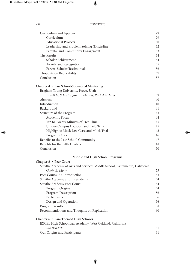| Curriculum and Approach                                                   | 29 |
|---------------------------------------------------------------------------|----|
| Curriculum                                                                | 29 |
| <b>Educational Projects</b>                                               | 30 |
| Leadership and Problem Solving (Discipline)                               | 32 |
| Parental and Community Engagement                                         | 33 |
| The Results                                                               | 34 |
| Scholar Achievement                                                       | 34 |
| Awards and Recognition                                                    | 35 |
| Parent-Scholar Testimonials                                               | 36 |
| Thoughts on Replicability                                                 | 37 |
| Conclusion                                                                | 37 |
| Chapter 4 · Law School-Sponsored Mentoring                                |    |
| Brigham Young University, Provo, Utah                                     |    |
| Brett G. Scharffs, Jana B. Eliason, Rachel A. Miller                      | 39 |
| Abstract                                                                  | 40 |
| Introduction                                                              | 40 |
| Background                                                                | 41 |
| Structure of the Program                                                  | 43 |
| Academic Focus                                                            | 44 |
| Ten to Twenty Minutes of Free Time                                        | 45 |
| Unique Campus Location and Field Trips                                    | 45 |
| Highlights: Mock Law Class and Mock Trial                                 | 45 |
| Program Costs                                                             | 46 |
| Benefits to the Law School Community                                      | 47 |
| Benefits for the Fifth Graders                                            | 48 |
| Conclusion                                                                | 50 |
| Middle and High School Programs                                           |    |
| Chapter 5 • Peer Court                                                    |    |
| Smythe Academy of Arts and Sciences Middle School, Sacramento, California |    |
| Gavin E. Mody                                                             | 53 |
| Peer Courts: An Introduction                                              | 53 |
| Smythe Academy and Its Students                                           | 54 |
| Smythe Academy Peer Court                                                 | 54 |
| Program Origins                                                           | 54 |
| Program Description                                                       | 56 |
| Participants                                                              | 56 |
| Design and Operation                                                      | 56 |

Program Results 58 Recommendations and Thoughts on Replication 60

*Ina Bendich* 61 Our Origins and Participants 61

**Chapter 6 • Law-Themed High Schools**

EXCEL High School Law Academy, West Oakland, California

| × |  |  |
|---|--|--|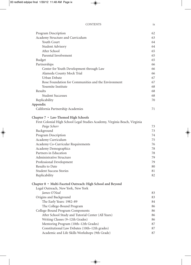#### CONTENTS ix

| Program Description                                                        | 62 |
|----------------------------------------------------------------------------|----|
| Academy Structure and Curriculum                                           | 63 |
| Youth Court                                                                | 64 |
| Student Advisory                                                           | 64 |
| After School                                                               | 65 |
| Parental Involvement                                                       | 65 |
| <b>Budget</b>                                                              | 65 |
| Partnerships                                                               | 66 |
| Center for Youth Development through Law                                   | 66 |
| Alameda County Mock Trial                                                  | 66 |
| Urban Debate                                                               | 67 |
| Rose Foundation for Communities and the Environment                        | 67 |
| Yosemite Institute                                                         | 68 |
| Results                                                                    | 68 |
| <b>Student Successes</b>                                                   | 68 |
| Replicability                                                              | 70 |
| Appendix                                                                   |    |
| California Partnership Academies                                           | 71 |
|                                                                            |    |
| Chapter 7 • Law-Themed High Schools                                        |    |
| First Colonial High School Legal Studies Academy, Virginia Beach, Virginia |    |
| Paige Scherr                                                               | 73 |
| Background                                                                 | 73 |
| Program Description                                                        | 74 |
| Academy Curriculum                                                         | 75 |
| Academy Co-Curricular Requirements                                         | 76 |
| Academy Demographics                                                       | 78 |
| Partners in Education                                                      | 78 |
| Administrative Structure                                                   | 79 |
| Professional Development                                                   | 79 |
| Results to Date                                                            | 80 |
| <b>Student Success Stories</b>                                             | 81 |
| Replicability                                                              | 82 |
|                                                                            |    |
| Chapter 8 • Multi-Faceted Outreach: High School and Beyond                 |    |
| Legal Outreach, New York, New York                                         |    |
| James O'Neal                                                               | 83 |
| Origins and Background                                                     | 83 |
| The Early Years: 1982-89                                                   | 84 |
| The College-Bound Program                                                  | 86 |
| College-Bound Program Components                                           | 86 |
| After School Study and Tutorial Center (All Years)                         | 86 |
| Writing Classes (9-12th Grades)                                            | 86 |
| Mentoring Program (10th-12th Grades)                                       | 87 |
| Constitutional Law Debates (10th-12th grades)                              | 87 |
| Academic and Life Skills Workshops (9th Grade)                             | 87 |
|                                                                            |    |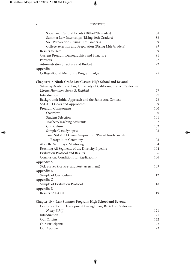| Social and Cultural Events (10th-12th grades)                         | 88  |
|-----------------------------------------------------------------------|-----|
| Summer Law Internships (Rising 10th Graders)                          | 88  |
| SAT Preparation (Rising 11th Graders)                                 | 89  |
| College Selection and Preparation (Rising 12th Graders)               | 89  |
| Results to Date                                                       | 89  |
| Current Program Demographics and Structure                            | 91  |
| Partners                                                              | 92  |
| Administrative Structure and Budget                                   | 92  |
| Appendix                                                              |     |
| College-Bound Mentoring Program FAQs                                  | 95  |
| Chapter 9 • Ninth-Grade Law Classes: High School and Beyond           |     |
| Saturday Academy of Law, University of California, Irvine, California |     |
| Karina Hamilton, Sarah E. Redfield                                    | 97  |
| Introduction                                                          | 97  |
| Background: Initial Approach and the Santa Ana Context                | 98  |
| SAL-UCI Goals and Approaches                                          | 99  |
| Program Components                                                    | 100 |
| Overview                                                              | 100 |
| <b>Student Selection</b>                                              | 101 |
| Teachers/Teaching Assistants                                          | 102 |
| Curriculum                                                            | 102 |
| Sample Class Synopsis                                                 | 103 |
| Final SAL-UCI Class/Campus Tour/Parent Involvement/                   |     |
| Recognition Ceremony                                                  | 103 |
| After the Saturdays: Mentoring                                        | 104 |
| Reaching All Segments of the Diversity Pipeline                       | 104 |
| <b>Evaluation Protocol and Results</b>                                | 106 |
| Conclusion: Conditions for Replicability                              | 106 |
| Appendix A                                                            |     |
| SAL Survey (for Pre- and Post-assessment)                             | 109 |
| Appendix B                                                            |     |
| Sample of Curriculum                                                  | 112 |
| Appendix C                                                            |     |
| Sample of Evaluation Protocol                                         | 118 |
| Appendix D                                                            |     |
| Results SAL-UCI                                                       | 119 |
| Chapter 10 • Law Summer Program: High School and Beyond               |     |
| Center for Youth Development through Law, Berkeley, California        |     |
| Nancy Schiff                                                          | 121 |
| Introduction                                                          | 121 |
| Our Origins                                                           | 122 |
| Our Participants                                                      | 122 |
| Our Approach                                                          | 123 |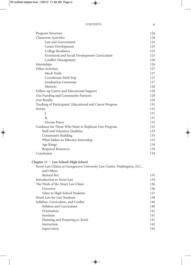#### CONTENTS xi

| Program Structure                                                         | 124 |
|---------------------------------------------------------------------------|-----|
| <b>Classroom Activities</b>                                               | 124 |
| Law and Government                                                        | 124 |
| Career Development                                                        | 125 |
| College Readiness                                                         | 125 |
| Emotional and Social Development Curriculum                               | 125 |
| Conflict Management                                                       | 126 |
| Internships                                                               | 126 |
| Other Activities                                                          | 127 |
| <b>Mock Trials</b>                                                        | 127 |
| Courthouse Field Trip                                                     | 127 |
| <b>Graduation Ceremony</b>                                                | 127 |
| Mentors                                                                   | 128 |
| Follow-up Career and Educational Support                                  | 128 |
| Our Funding and Community Partners                                        | 128 |
| Our Results                                                               | 129 |
| Tracking of Participants' Educational and Career Progress                 | 131 |
| <b>Stories</b>                                                            | 131 |
| J.                                                                        | 131 |
| $R_{\cdot}$                                                               | 131 |
| Dorian Peters                                                             | 132 |
| Guidance for Those Who Want to Replicate Our Program                      | 132 |
| Staff and Volunteer Qualities                                             | 133 |
| Community Building                                                        | 133 |
| What Makes an Effective Internship                                        | 133 |
| Age Range                                                                 | 134 |
| Required Resources                                                        | 134 |
| Conclusion                                                                | 134 |
| Chapter 11 • Law School-High School                                       |     |
| Street Law Clinics at Georgetown University Law Center, Washington, D.C., |     |
| and Others                                                                |     |
| Richard Roe                                                               | 135 |
| Introduction to Street Law                                                | 135 |
| The Work of the Street Law Clinic                                         | 136 |
| Overview                                                                  | 136 |
| Value to High School Students                                             | 137 |
| <b>Street Law for Law Students</b>                                        | 138 |
| Syllabus, Curriculum, and Credits                                         | 140 |
| Syllabus and Curriculum                                                   | 140 |
| Orientation                                                               | 141 |
| Seminars                                                                  | 141 |
| Planning and Preparing to Teach                                           | 141 |
| Instruction                                                               | 142 |
| Supervision                                                               | 142 |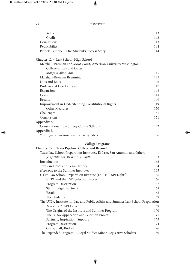| Reflection                                                                      | 143 |
|---------------------------------------------------------------------------------|-----|
| Credit                                                                          | 143 |
| Conclusions                                                                     | 143 |
| Replicability                                                                   | 144 |
| Patrick Campbell, One Student's Success Story                                   | 144 |
| Chapter 12 · Law School-High School                                             |     |
| Marshall-Brennan and Moot Court, American University Washington                 |     |
| College of Law and Others                                                       |     |
| Maryam Ahranjani                                                                | 145 |
| Marshall-Brennan Beginning                                                      | 145 |
| Nuts and Bolts                                                                  | 146 |
| Professional Development                                                        | 147 |
| Expansion                                                                       | 148 |
| Costs                                                                           | 148 |
| Results                                                                         | 149 |
| Improvement in Understanding Constitutional Rights                              | 149 |
| Other Measures                                                                  | 150 |
| Challenges                                                                      | 151 |
| Conclusions                                                                     | 151 |
| Appendix A                                                                      |     |
| Constitutional Law Survey Course Syllabus                                       | 152 |
| Appendix B                                                                      |     |
| Youth Justice in America Course Syllabus                                        | 156 |
| <b>College Programs</b>                                                         |     |
| Chapter 13 • Texas Pipeline: College and Beyond                                 |     |
| Texas Law School Preparation Institutes, El Paso, San Antonio, and Others       |     |
| Jerry Polinard, Richard Gambitta                                                | 163 |
| Introduction                                                                    | 163 |
| Texas and Race and Legal History                                                | 164 |
| Hopwood to the Summer Institutes                                                | 165 |
| UTPA Law School Preparation Institute (LSPI): "LSPI Light!"                     | 166 |
| UTPA and the LSPI Selection Process                                             | 166 |
| Program Description                                                             | 167 |
| Staff, Budget, Partners                                                         | 168 |
| Results                                                                         | 168 |
| The Students                                                                    | 169 |
| The UTSA Institute for Law and Public Affairs and Summer Law School Preparation |     |
| Academy: "LSPI Large"                                                           | 169 |
| The Origins of the Institute and Summer Program                                 | 170 |
| The UTSA Application and Selection Process                                      | 171 |
| Partners, Inspiration, Support                                                  | 173 |
| Program Description                                                             | 174 |
| Costs, Staff, Budget                                                            | 176 |
| The Expanded Program: A Legal Studies Minor, Legislative Scholars               | 180 |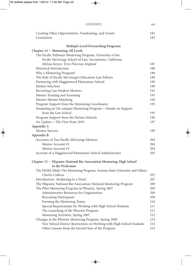| <b>CONTENTS</b>                                                                            | <b>X111</b> |
|--------------------------------------------------------------------------------------------|-------------|
| Creating Other Opportunities, Fundraising, and Grants<br>Conclusion                        | 181<br>183  |
| Multiple-Level/Overarching Programs                                                        |             |
| Chapter 14 · Mentoring: All Levels                                                         |             |
| The Pacific Pathways Mentoring Program, University of the                                  |             |
| Pacific McGeorge School of Law, Sacramento, California                                     |             |
| Melissa Keyzer, Torie Flournoy-England                                                     | 187         |
| Historical Introduction                                                                    | 188         |
| Why a Mentoring Program?                                                                   | 188         |
| The Role of Pacific McGeorge's Education Law Fellows                                       | 189         |
| Partnering with Hagginwood Elementary School                                               | 190         |
| Mentee Selection                                                                           | 190         |
| Recruiting Law Student Mentors                                                             | 191         |
| Mentor Training and Screening                                                              | 193         |
| Mentor-Mentee Matching<br>Program Support from the Mentoring Coordinator                   | 194<br>195  |
| Sustaining an On-campus Mentoring Program-Hands-on Support                                 |             |
| from the Law School                                                                        | 195         |
| Program Support from the Partner Schools                                                   | 196         |
| An Update-The View from 2010                                                               | 197         |
| Appendix A                                                                                 |             |
| Mentor Surveys                                                                             | 199         |
| Appendix B                                                                                 |             |
| Accounts of Two Pacific McGeorge Mentors                                                   | 204         |
| Mentor Account #1                                                                          | 204         |
| Mentor Account #2                                                                          | 204         |
| Account of a Hagginwood Elementary School Administrator                                    | 205         |
| Chapter 15 · Hispanic National Bar Association Mentoring: High School<br>to the Profession |             |
| The HNBA Multi-Tier Mentoring Program, Arizona State University and Others                 |             |
| Charles Calleros                                                                           | 207         |
| Introduction: Awakening to a Need                                                          | 207         |
| The Hispanic National Bar Association National Mentoring Program                           | 209         |
| The Pilot Mentoring Program in Phoenix, Spring 2007                                        | 209         |
| Administrative Resources for Organization                                                  | 209         |
| Recruiting Participants                                                                    | 209         |
| Forming the Mentoring Teams                                                                | 210         |
| Special Requirements for Working with High School Students                                 | 211         |
| The Launching of the Phoenix Program                                                       | 211         |
| Mentoring Activities, Spring 2007                                                          | 212         |
| Changes in the Phoenix Mentoring Program, Spring 2008                                      | 214         |
| New School District Restrictions on Working with High School Students                      | 214         |
| Other Lessons from the Second Year of the Program                                          | 215         |
|                                                                                            |             |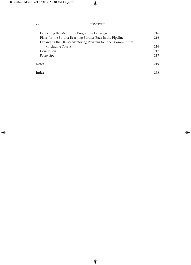### xiv CONTENTS

| Launching the Mentoring Program in Las Vegas                | 216 |
|-------------------------------------------------------------|-----|
| Plans for the Future: Reaching Further Back in the Pipeline | 216 |
| Expanding the HNBA Mentoring Program to Other Communities   |     |
| (Including Yours)                                           | 216 |
| Conclusion                                                  | 217 |
| Postscript                                                  | 217 |
| <b>Notes</b>                                                | 219 |
| Index                                                       | 233 |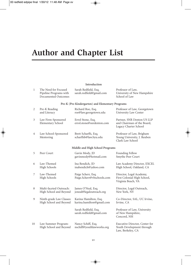## **Author and Chapter List**

#### **Introduction**

| $\mathbf{1}$ | The Need for Focused<br>Pipeline Programs with<br>Documented Outcomes | Sarah Redfield, Esq.<br>sarah.redfield@gmail.com   | Professor of Law,<br>University of New Hampshire<br>School of Law                 |
|--------------|-----------------------------------------------------------------------|----------------------------------------------------|-----------------------------------------------------------------------------------|
|              |                                                                       | Pre-K (Pre-Kindergarten) and Elementary Programs   |                                                                                   |
| 2            | Pre-K Reading<br>and Literacy                                         | Richard Roe, Esq.<br>roe@law.georgetown.edu        | Professor of Law, Georgetown<br>University Law Center                             |
| 3            | Law Firm-Sponsored<br>Elementary School                               | Errol Stone, Esq.<br>errol.stone@snrdenton.com     | Partner, SNR Denton US LLP<br>and Chairman of the Board,<br>Legacy Charter School |
| 4            | Law School-Sponsored<br>Mentoring                                     | Brett Scharffs, Esq.<br>scharffsb@law.byu.edu      | Professor of Law, Brigham<br>Young University, J. Reuben<br>Clark Law School      |
|              |                                                                       | Middle and High School Programs                    |                                                                                   |
| 5            | Peer Court                                                            | Gavin Mody, JD<br>gavinmody@hotmail.com            | Founding Fellow<br>Smythe Peer Court                                              |
| 6            | Law-Themed<br>High Schools                                            | Ina Bendich, JD<br>inabendich@yahoo.com            | Law Academy Director, EXCEL<br>High School, Oakland, CA                           |
| 7            | Law-Themed<br><b>High Schools</b>                                     | Paige Scherr, Esq.<br>Paige.Scherr@vbschools.com   | Director, Legal Academy,<br>First Colonial High School,<br>Virginia Beach, VA     |
| 8            | Multi-faceted Outreach:<br>High School and Beyond                     | James O'Neal, Esq.<br>joneal@legaloutreach.org     | Director, Legal Outreach,<br>New York, NY                                         |
| 9            | Ninth-grade Law Classes:<br>High School and Beyond                    | Karina Hamilton, Esq.<br>karina.hamilton@gmail.com | Co-Director, SAL, UC Irvine,<br>Irvine, CA                                        |
|              |                                                                       | Sarah Redfield, Esq.<br>sarah.redfield@gmail.com   | Professor of Law, University<br>of New Hampshire,<br>Concord, NH                  |
| 10           | Law Summer Program:<br>High School and Beyond                         | Nancy Schiff, Esq.<br>nschiff@youthlawworks.org    | Executive Director, Center for<br>Youth Development through<br>Law, Berkeley, CA  |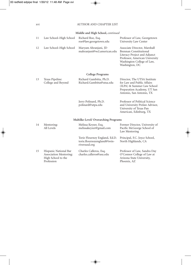### xvi AUTHOR AND CHAPTER LIST

### **Middle and High School,** *continued*

| 11 | Law School-High School                                                | Richard Roe, Esq.<br>roe@law.georgetown.edu                                   | Professor of Law, Georgetown<br>University Law Center                                                                                                                    |
|----|-----------------------------------------------------------------------|-------------------------------------------------------------------------------|--------------------------------------------------------------------------------------------------------------------------------------------------------------------------|
| 12 | Law School-High School                                                | Maryam Ahranjani, JD<br>mahranjani@wcl.american.edu                           | Associate Director, Marshall<br>Brennan Constitutional<br>Literacy Project and Adjunct<br>Professor, American University<br>Washington College of Law,<br>Washington, DC |
|    |                                                                       | College Programs                                                              |                                                                                                                                                                          |
| 13 | Texas Pipeline:<br>College and Beyond                                 | Richard Gambitta, Ph.D.<br>Richard.Gambitta@utsa.edu                          | Director, The UTSA Institute<br>for Law and Public Affairs<br>(ILPA) & Summer Law School<br>Preparation Academy, UT San<br>Antonio, San Antonio, TX                      |
|    |                                                                       | Jerry Polinard, Ph.D.<br>polinard@utpa.edu                                    | Professor of Political Science<br>and University Prelaw Advisor,<br>University of Texas Pan<br>American, Edinburg, TX                                                    |
|    |                                                                       | Multilke-Level/ Overarching Programs                                          |                                                                                                                                                                          |
| 14 | Mentoring:<br>All Levels                                              | Melissa Keyzer, Esq.<br>melissakeyzer@gmail.com                               | Former Director, University of<br>Pacific McGeorge School of<br>Law Mentoring                                                                                            |
|    |                                                                       | Torie Flournoy England, Ed.D.<br>torie.flournoyengland@twin-<br>riversusd.org | Principal, F.C. Joyce School,<br>North Highlands, CA                                                                                                                     |
| 15 | Hispanic National Bar<br>Association Mentoring:<br>High School to the | Charles Calleros, Esq.<br>charles.calleros@asu.edu                            | Professor of Law, Sandra Day<br>O'Connor College of Law at<br>Arizona State University,                                                                                  |

Phoenix, AZ

Profession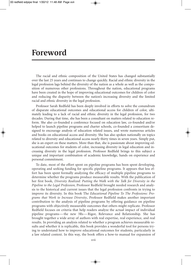### **Foreword**

The racial and ethnic composition of the United States has changed substantially over the last 25 years and continues to change quickly. Racial and ethnic diversity in the legal profession lags behind the diversity of the nation as a whole as well as the composition of numerous other professions. Throughout the nation, educational programs have been created in the hope of improving educational outcomes for children of color and reducing the disparity between the nation's increasing diversity and the limited racial and ethnic diversity in the legal profession.

Professor Sarah Redfield has been deeply involved in efforts to solve the conundrum of disparate educational outcomes and educational access for children of color, ultimately leading to a lack of racial and ethnic diversity in the legal profession, for two decades. During that time, she has been a consultant on matters related to education reform. She also co-founded a conference focused on education law, co-founded and/or helped to launch pipeline programs and charter schools, co-founded a consortium designed to encourage analysis of education related issues, and wrote numerous articles and books on educational access and diversity. She has also spoken nationally on topics related to diversity and educational access nearly thirty times in seven years. Simply put, she is an expert on these matters. More than that, she is passionate about improving educational outcomes for students of color, increasing diversity in legal education and increasing diversity in the legal profession. Professor Redfield brings to this subject a unique and important combination of academic knowledge, hands on experience and personal commitment.

To date, most of the effort spent on pipeline programs has been spent developing, operating and seeking funding for specific pipeline programs. It appears that less effort has been spent formally analyzing the efficacy of multiple pipeline programs to determine whether the programs produce measurable results. With the publication of her first book, *Diversity Realized: Putting the Walk with the Talk for Diversity in the Pipeline to the Legal Profession,* Professor Redfield brought needed research and analysis to the historical and current issues that the legal profession confronts in trying to improve its diversity. In this book The *Educational Pipeline To The Professions: Programs that Work to Increase Diversity*, Professor Redfield makes another important contribution to the analysis of pipeline programs by offering guidance on pipeline programs with objectively measurable outcomes that others might replicate. Professor Redfield focuses on criteria that help readers analyze the actual impact of individual pipeline programs—the new 3Rs—Rigor, Relevance and Relationship. She has brought together a wide array of authors with real expertise, real experience, and real results. In providing an analysis related to whether a program achieves measurable results and whether it is replicable, this book provides a wonderful tool for persons trying to understand how to improve educational outcomes for students, particularly in a law related context. In this way, the book offers a how-to manual for expansion of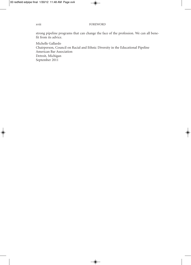### xviii FOREWORD

strong pipeline programs that can change the face of the profession. We can all benefit from its advice.

Michelle Gallardo Chairperson, Council on Racial and Ethnic Diversity in the Educational Pipeline American Bar Association Detroit, Michigan September 2011